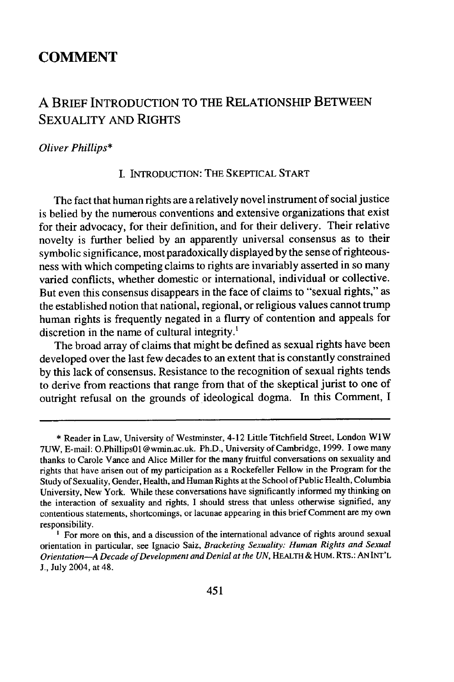## **COMMENT**

# **A** BRIEF INTRODUCTION TO THE RELATIONSHIP BETWEEN SEXUALITY AND RIGHTS

#### *Oliver Phillips\**

#### I. INTRODUCTION: THE SKEPTICAL START

The fact that human rights are a relatively novel instrument of social justice is belied by the numerous conventions and extensive organizations that exist for their advocacy, for their definition, and for their delivery. Their relative novelty is further belied by an apparently universal consensus as to their symbolic significance, most paradoxically displayed by the sense of righteousness with which competing claims to rights are invariably asserted in so many varied conflicts, whether domestic or international, individual or collective. But even this consensus disappears in the face of claims to "sexual rights," as the established notion that national, regional, or religious values cannot trump human rights is frequently negated in a flurry of contention and appeals for discretion in the name of cultural integrity.'

The broad array of claims that might be defined as sexual rights have been developed over the last few decades to an extent that is constantly constrained by this lack of consensus. Resistance to the recognition of sexual rights tends to derive from reactions that range from that of the skeptical jurist to one of outright refusal on the grounds of ideological dogma. In this Comment, I

<sup>\*</sup> Reader in Law, University of Westminster, 4-12 Little Titchfield Street, London WIW 7UW, E-mail: O.PhillipsOl @wmin.ac.uk. Ph.D., University of Cambridge, 1999. I owe many thanks to Carole Vance and Alice Miller for the many fruitful conversations on sexuality and rights that have arisen out of my participation as a Rockefeller Fellow in the Program for the Study of Sexuality, Gender, Health, and Human Rights at the School of Public Health, Columbia University, New York. While these conversations have significantly informed my thinking on the interaction of sexuality and rights, I should stress that unless otherwise signified, any contentious statements, shortcomings, or lacunae appearing in this brief Comment are my own responsibility.

<sup>&</sup>lt;sup>1</sup> For more on this, and a discussion of the international advance of rights around sexual orientation in particular, see Ignacio Saiz, *Bracketing Sexuality: Human Rights and Sexual Orientation-A Decade of Development and Denial at the UN,* **HEALTH** & HUM. **RTs.: AN INT'L** J., July 2004, at 48.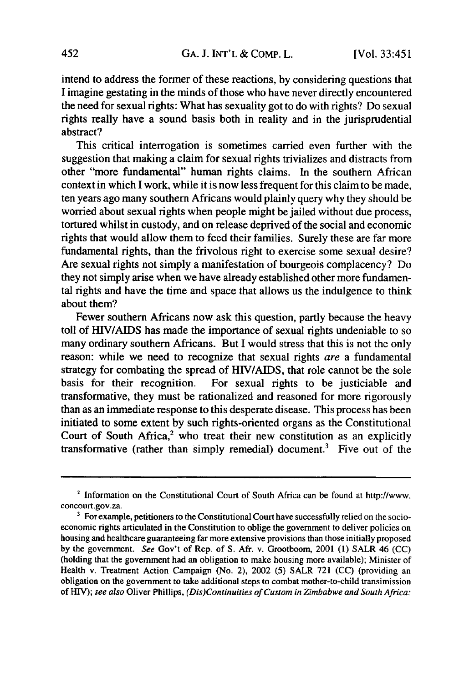intend to address the former of these reactions, **by** considering questions that I imagine gestating in the minds of those who have never directly encountered the need for sexual rights: What has sexuality got to do with rights? Do sexual rights really have a sound basis both in reality and in the jurisprudential abstract?

This critical interrogation is sometimes carried even further with the suggestion that making a claim for sexual rights trivializes and distracts from other "more fundamental" human rights claims. In the southern African context in which I work, while it is now less frequent for this claim to be made, ten years ago many southern Africans would plainly query why they should be worried about sexual rights when people might be jailed without due process, tortured whilst in custody, and on release deprived of the social and economic rights that would allow them to feed their families. Surely these are far more fundamental rights, than the frivolous right to exercise some sexual desire? Are sexual rights not simply a manifestation of bourgeois complacency? Do they not simply arise when we have already established other more fundamental rights and have the time and space that allows us the indulgence to think about them?

Fewer southern Africans now ask this question, partly because the heavy toll of HIV/AIDS has made the importance of sexual rights undeniable to so many ordinary southern Africans. But I would stress that this is not the only reason: while we need to recognize that sexual rights are a fundamental strategy for combating the spread of HIV/AIDS, that role cannot be the sole basis for their recognition. For sexual rights to be justiciable and transformative, they must be rationalized and reasoned for more rigorously than as an immediate response to this desperate disease. This process has been initiated to some extent by such rights-oriented organs as the Constitutional Court of South Africa, $2$  who treat their new constitution as an explicitly transformative (rather than simply remedial) document.3 Five out of the

<sup>2</sup> Information on the Constitutional Court of South Africa can be found at http://www. concourt.gov.za.

<sup>&</sup>lt;sup>3</sup> For example, petitioners to the Constitutional Court have successfully relied on the socioeconomic rights articulated in the Constitution to oblige the government to deliver policies on housing and healthcare guaranteeing far more extensive provisions than those initially proposed by the government. *See* Gov't of Rep. of S. Afr. v. Grootboom, 2001 (1) SALR 46 (CC) (holding that the government had an obligation to make housing more available); Minister of Health v. Treatment Action Campaign (No. 2), 2002 (5) SALR 721 (CC) (providing an obligation on the government to take additional steps to combat mother-to-child transimission of HIV); *see also* Oliver Phillips, *(Dis)Continuities of Custom in Zimbabwe and South Africa:*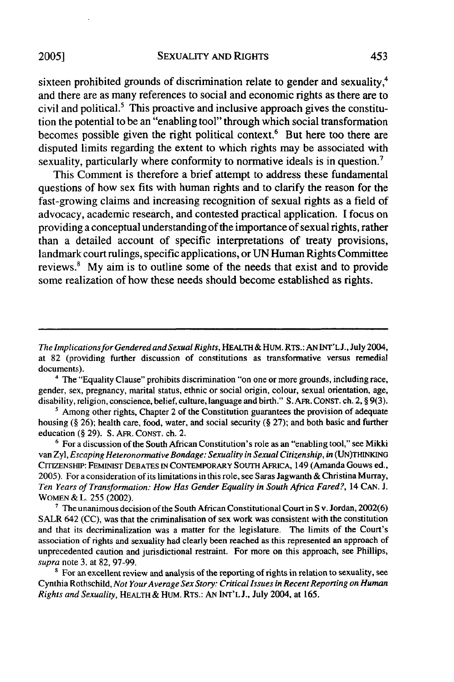sixteen prohibited grounds of discrimination relate to gender and sexuality,<sup>4</sup> and there are as many references to social and economic rights as there are to civil and political.<sup>5</sup> This proactive and inclusive approach gives the constitution the potential to be an "enabling tool" through which social transformation becomes possible given the right political context.<sup>6</sup> But here too there are disputed limits regarding the extent to which rights may be associated with sexuality, particularly where conformity to normative ideals is in question.<sup>7</sup>

This Comment is therefore a brief attempt to address these fundamental questions of how sex fits with human rights and to clarify the reason for the fast-growing claims and increasing recognition of sexual rights as a field of advocacy, academic research, and contested practical application. I focus on providing a conceptual understanding of the importance of sexual rights, rather than a detailed account of specific interpretations of treaty provisions, landmark court rulings, specific applications, or UN Human Rights Committee reviews.' **My** aim is to outline some of the needs that exist and to provide some realization of how these needs should become established as rights.

**<sup>6</sup>**For a discussion of the South African Constitution's role as an "enabling tool," see Mikki van **Zyl,** *Escaping Heteronormative Bondage: Sexuality in Sexual Citizenship, in* (UN)THINKING CITIZENSHI: FEMINIST **DEBATES IN** CONTEMPORARY SOUTH AFRICA, 149 (Amanda Gouws ed., 2005). For a consideration of its limitations in this role, see Saras Jagwanth & Christina Murray, *Ten Years of Transformation: How Has Gender Equality in South Africa Fared?,* 14 CAN. J. WOMEN & L. 255 (2002).

**7** The unanimous decision of the South African Constitutional Court in S v. Jordan, 2002(6) SALR 642 (CC), was that the criminalisation of sex work was consistent with the constitution and that its decriminalization was a matter for the legislature. The limits of the Court's association of rights and sexuality had clearly been reached as this represented an approach of unprecedented caution and jurisdictional restraint. For more on this approach, see Phillips, *supra* note 3, at 82, 97-99.

<sup>8</sup> For an excellent review and analysis of the reporting of rights in relation to sexuality, see Cynthia Rothschild, *Not YourAverage Sex Story: Critical Issues in Recent Reporting on Human Rights and Sexuality,* HEALTH& HuM. RTs.: AN INT'L J., July 2004, at 165.

*The Implications for Gendered and Sexual Rights,* HEALTH & HUM. RTs.: ANINT'LJ., July 2004, at 82 (providing further discussion of constitutions as transformative versus remedial documents).

**<sup>&#</sup>x27;** The "Equality Clause" prohibits discrimination "on one or more grounds, including race, gender, sex, pregnancy, marital status, ethnic or social origin, colour, sexual orientation, age, disability, religion, conscience, belief, culture, language and birth." S. AFR. CONST. ch. 2, § 9(3).

<sup>&</sup>lt;sup>5</sup> Among other rights, Chapter 2 of the Constitution guarantees the provision of adequate housing (§ 26); health care, food, water, and social security (§ 27); and both basic and further education (§ 29). S. AFR. CONST. ch. 2.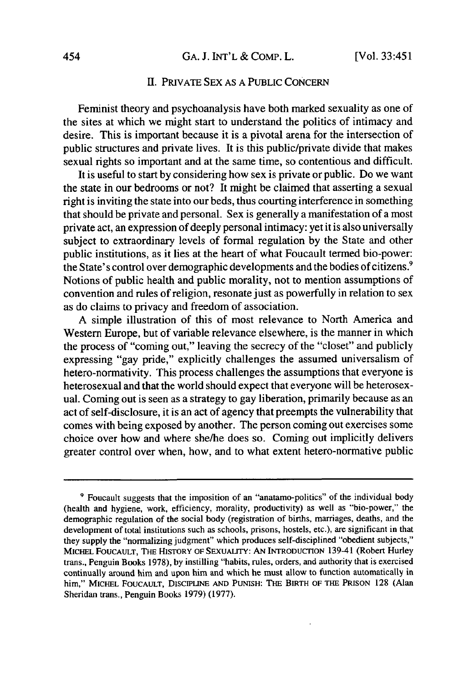#### HI. PRIVATE SEX AS A PUBLIC CONCERN

Feminist theory and psychoanalysis have both marked sexuality as one of the sites at which we might start to understand the politics of intimacy and desire. This is important because it is a pivotal arena for the intersection of public structures and private lives. It is this public/private divide that makes sexual rights so important and at the same time, so contentious and difficult.

It is useful to start by considering how sex is private or public. Do we want the state in our bedrooms or not? It might be claimed that asserting a sexual right is inviting the state into our beds, thus courting interference in something that should be private and personal. Sex is generally a manifestation of a most private act, an expression of deeply personal intimacy: yet it is also universally subject to extraordinary levels of formal regulation by the State and other public institutions, as it lies at the heart of what Foucault termed bio-power: the State's control over demographic developments and the bodies of citizens.<sup>9</sup> Notions of public health and public morality, not to mention assumptions of convention and rules of religion, resonate just as powerfully in relation to sex as do claims to privacy and freedom of association.

A simple illustration of this of most relevance to North America and Western Europe, but of variable relevance elsewhere, is the manner in which the process of "coming out," leaving the secrecy of the "closet" and publicly expressing "gay pride," explicitly challenges the assumed universalism of hetero-normativity. This process challenges the assumptions that everyone is heterosexual and that the world should expect that everyone will be heterosexual. Coming out is seen as a strategy to gay liberation, primarily because as an act of self-disclosure, it is an act of agency that preempts the vulnerability that comes with being exposed by another. The person coming out exercises some choice over how and where she/he does so. Coming out implicitly delivers greater control over when, how, and to what extent hetero-normative public

**<sup>9</sup>** Foucault suggests that the imposition of an "anatamo-politics" of the individual body (health and hygiene, work, efficiency, morality, productivity) as well as "bio-power," the demographic regulation of the social body (registration of births, marriages, deaths, and the development of total institutions such as schools, prisons, hostels, etc.), are significant in that they supply the "normalizing judgment" which produces self-disciplined "obedient subjects," MICHEL FOUCAULT, THE HISTORY OF SEXUALITY: AN INTRODUCTION 139-41 (Robert Hurley trans., Penguin Books 1978), by instilling "habits, rules, orders, and authority that is exercised continually around him and upon him and which he must allow to function automatically in him," MICHEL **FOUCAULT,** DISCIPLINE **AND PUNISH:** THE BIRTH OF THE PRISON 128 (Alan Sheridan trans., Penguin Books 1979) (1977).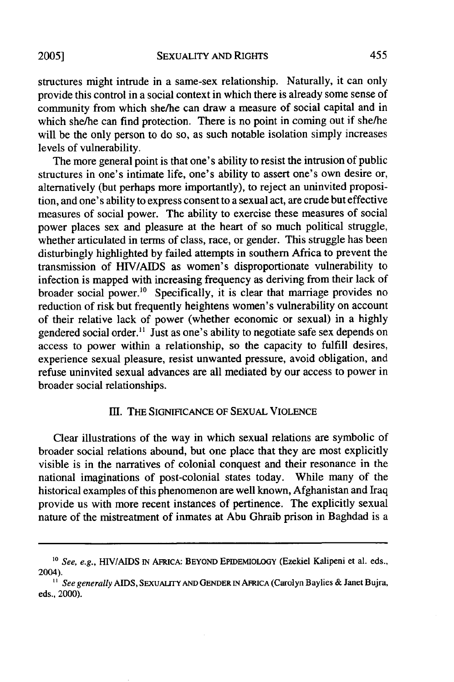**2005]**

structures might intrude in a same-sex relationship. Naturally, it can only provide this control in a social context in which there is already some sense of community from which she/he can draw a measure of social capital and in which she/he can find protection. There is no point in coming out if she/he will be the only person to do so, as such notable isolation simply increases levels of vulnerability.

The more general point is that one's ability to resist the intrusion of public structures in one's intimate life, one's ability to assert one's own desire or, alternatively (but perhaps more importantly), to reject an uninvited proposition, and one's ability to express consent to a sexual act, are crude but effective measures of social power. The ability to exercise these measures of social power places sex and pleasure at the heart of so much political struggle, whether articulated in terms of class, race, or gender. This struggle has been disturbingly highlighted by failed attempts in southern Africa to prevent the transmission of HIV/AIDS as women's disproportionate vulnerability to infection is mapped with increasing frequency as deriving from their lack of broader social power.<sup>10</sup> Specifically, it is clear that marriage provides no reduction of risk but frequently heightens women's vulnerability on account of their relative lack of power (whether economic or sexual) in a highly gendered social order.<sup>11</sup> Just as one's ability to negotiate safe sex depends on access to power within a relationship, so the capacity to fulfill desires, experience sexual pleasure, resist unwanted pressure, avoid obligation, and refuse uninvited sexual advances are all mediated by our access to power in broader social relationships.

## I1. THE **SIGNIFICANCE OF** SEXUAL VIOLENCE

Clear illustrations of the way in which sexual relations are symbolic of broader social relations abound, but one place that they are most explicitly visible is in the narratives of colonial conquest and their resonance in the national imaginations of post-colonial states today. While many of the historical examples of this phenomenon are well known, Afghanistan and Iraq provide us with more recent instances of pertinence. The explicitly sexual nature of the mistreatment of inmates at Abu Ghraib prison in Baghdad is a

<sup>&</sup>lt;sup>10</sup> *See, e.g., HIV/AIDS IN AFRICA: BEYOND EPIDEMIOLOGY (Ezekiel Kalipeni et al. eds.,* 2004). *" See generally* AIDS, SEXUALiTY AND GENDER IN AFRICA (Carolyn Baylies & Janet Bujra,

eds., 2000).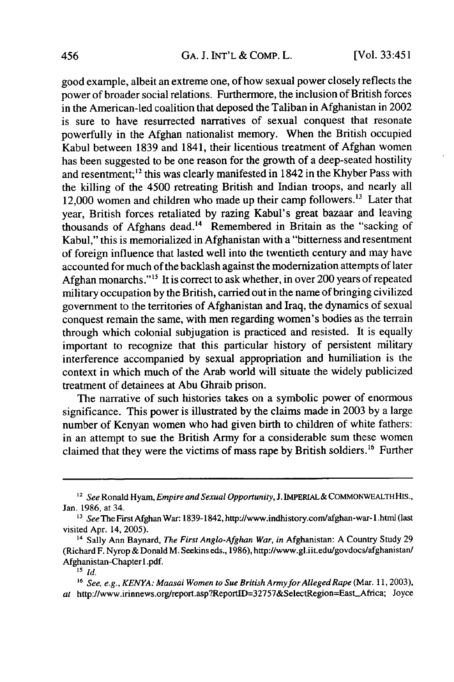good example, albeit an extreme one, of how sexual power closely reflects the power of broader social relations. Furthermore, the inclusion of British forces in the American-led coalition that deposed the Taliban in Afghanistan in 2002 is sure to have resurrected narratives of sexual conquest that resonate powerfully in the Afghan nationalist memory. When the British occupied Kabul between 1839 and 1841, their licentious treatment of Afghan women has been suggested to be one reason for the growth of a deep-seated hostility and resentment;<sup>12</sup> this was clearly manifested in 1842 in the Khyber Pass with the killing of the 4500 retreating British and Indian troops, and nearly all 12,000 women and children who made up their camp followers.<sup>13</sup> Later that year, British forces retaliated by razing Kabul's great bazaar and leaving thousands of Afghans dead.<sup>14</sup> Remembered in Britain as the "sacking of Kabul," this is memorialized in Afghanistan with a "bitterness and resentment of foreign influence that lasted well into the twentieth century and may have accounted for much of the backlash against the modernization attempts of later Afghan monarchs."<sup>15</sup> It is correct to ask whether, in over 200 years of repeated military occupation by the British, carried out in the name of bringing civilized government to the territories of Afghanistan and Iraq, the dynamics of sexual conquest remain the same, with men regarding women's bodies as the terrain through which colonial subjugation is practiced and resisted. It is equally important to recognize that this particular history of persistent military interference accompanied by sexual appropriation and humiliation is the context in which much of the Arab world will situate the widely publicized treatment of detainees at Abu Ghraib prison.

The narrative of such histories takes on a symbolic power of enormous significance. This power is illustrated by the claims made in 2003 by a large number of Kenyan women who had given birth to children of white fathers: in an attempt to sue the British Army for a considerable sum these women claimed that they were the victims of mass rape by British soldiers.<sup>16</sup> Further

*<sup>2</sup> See* Ronald Hyam, *Empire and Sexual Opportunity,* **J.** IMPERIAL& COMMONWEALTH HIS., Jan. 1986, at 34.

**<sup>&</sup>quot;3** *See* The First Afghan War: 1839-1842,http://www.indhistory.com/afghan-war-l.html (last visited Apr. 14, 2005).

<sup>&</sup>lt;sup>14</sup> Sally Ann Baynard, *The First Anglo-Afghan War*, *in Afghanistan*: A Country Study 29 (Richard F. Nyrop & Donald M. Seekins eds., 1986), http://www.gl.iit.edu/govdocs/afghanistan/ Afghanistan-Chapter l.pdf.

**<sup>15</sup>** *id.*

<sup>&</sup>lt;sup>16</sup> See, e.g., KENYA: Maasai Women to Sue British Army for Alleged Rape (Mar. 11, 2003), at http://www.irinnews.org/report.asp?ReportID=32757&SelectRegion=East\_Africa; Joyce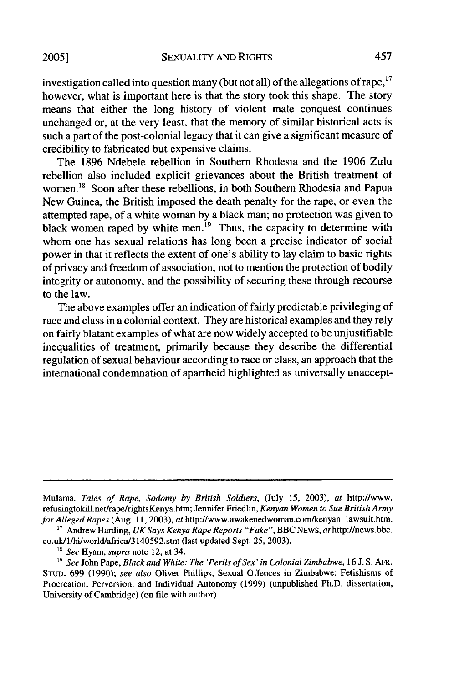investigation called into question many (but not all) of the allegations of rape,  $17$ however, what is important here is that the story took this shape. The story means that either the long history of violent male conquest continues unchanged or, at the very least, that the memory of similar historical acts is such a part of the post-colonial legacy that it can give a significant measure of credibility to fabricated but expensive claims.

The 1896 Ndebele rebellion in Southern Rhodesia and the 1906 Zulu rebellion also included explicit grievances about the British treatment of women.<sup>18</sup> Soon after these rebellions, in both Southern Rhodesia and Papua New Guinea, the British imposed the death penalty for the rape, or even the attempted rape, of a white woman by a black man; no protection was given to black women raped by white men.<sup>19</sup> Thus, the capacity to determine with whom one has sexual relations has long been a precise indicator of social power in that it reflects the extent of one's ability to lay claim to basic rights of privacy and freedom of association, not to mention the protection of bodily integrity or autonomy, and the possibility of securing these through recourse to the law.

The above examples offer an indication of fairly predictable privileging of race and class in a colonial context. They are historical examples and they rely on fairly blatant examples of what are now widely accepted to be unjustifiable inequalities of treatment, primarily because they describe the differential regulation of sexual behaviour according to race or class, an approach that the international condemnation of apartheid highlighted as universally unaccept-

Mulama, *Tales of Rape, Sodomy by British Soldiers,* (July 15, 2003), *at* http:Ilwww. refusingtokill.net/rape/rightsKenya.htm; Jennifer Friedlin, *Kenyan Women to Sue British Army for Alleged Rapes* (Aug. 11, 2003), *at* http://www.awakenedwoman.com/kenyan-Jawsuit.htm. **'"** Andrew Harding, *UK Says Kenya Rape Reports "Fake",* BBC NEWS, *at* http://news.bbc.

co.uk/l/hi/world/africa/3140592.stm (last updated Sept. 25, 2003).

*<sup>&</sup>quot; See* Hyam, *supra* note 12, at 34.

*<sup>19</sup>See* John Pape, *Black and White: The 'Perils of Sex' in Colonial Zimbabwe,* 16 J. S. AFR. STUD. 699 (1990); *see also* Oliver Phillips, Sexual Offences in Zimbabwe: Fetishisms of Procreation, Perversion, and Individual Autonomy (1999) (unpublished Ph.D. dissertation, University of Cambridge) (on file with author).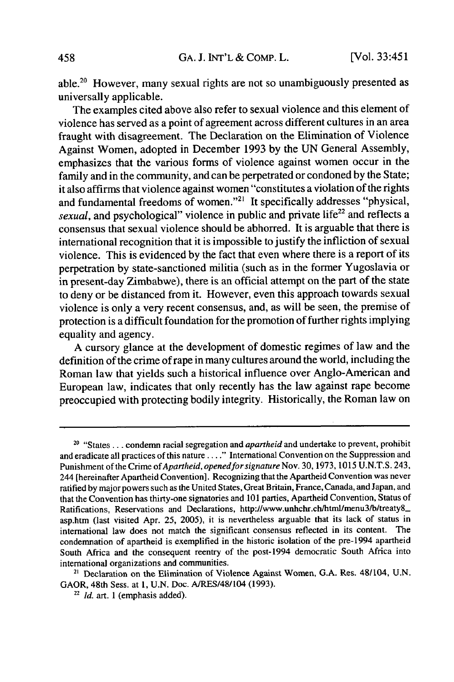able.20 However, many sexual rights are not so unambiguously presented as universally applicable.

The examples cited above also refer to sexual violence and this element of violence has served as a point of agreement across different cultures in an area fraught with disagreement. The Declaration on the Elimination of Violence Against Women, adopted in December 1993 by the UN General Assembly, emphasizes that the various forms of violence against women occur in the family and in the community, and can be perpetrated or condoned by the State; it also affirms that violence against women "constitutes a violation of the rights and fundamental freedoms of women."<sup>21</sup> It specifically addresses "physical, *sexual*, and psychological" violence in public and private life<sup>22</sup> and reflects a consensus that sexual violence should be abhorred. It is arguable that there is international recognition that it is impossible to justify the infliction of sexual violence. This is evidenced by the fact that even where there is a report of its perpetration by state-sanctioned militia (such as in the former Yugoslavia or in present-day Zimbabwe), there is an official attempt on the part of the state to deny or be distanced from it. However, even this approach towards sexual violence is only a very recent consensus, and, as will be seen, the premise of protection is a difficult foundation for the promotion of further rights implying equality and agency.

A cursory glance at the development of domestic regimes of law and the definition of the crime of rape in many cultures around the world, including the Roman law that yields such a historical influence over Anglo-American and European law, indicates that only recently has the law against rape become preoccupied with protecting bodily integrity. Historically, the Roman law on

<sup>20 &</sup>quot;States ... condemn racial segregation and *apartheid* and undertake to prevent, prohibit and eradicate all practices of this **nature...."** International Convention on the Suppression and Punishment of the Crime *of Apartheid, openedforsignature* Nov. 30, 1973, 1015 U.N.T.S. 243, 244 (hereinafter Apartheid Convention]. Recognizing that the Apartheid Convention was never ratified by major powers such as the United States, Great Britain, France, Canada, and Japan, and that the Convention has thirty-one signatories and 101 parties, Apartheid Convention, Status of Ratifications, Reservations and Declarations, http://www.unhchr.ch/html/menu3/b/treaty8\_ asp.htm (last visited Apr. 25, 2005), it is nevertheless arguable that its lack of status in international law does not match the significant consensus reflected in its content. The condemnation of apartheid is exemplified in the historic isolation of the pre-1994 apartheid South Africa and the consequent reentry of the post-1994 democratic South Africa into international organizations and communities.

<sup>21</sup> Declaration on the Elimination of Violence Against Women, G.A. Res. 481104, U.N. GAOR, 48th Sess. at 1, U.N. Doc. A/RES/48/104 (1993).

*<sup>22</sup> Id.* art. 1 (emphasis added).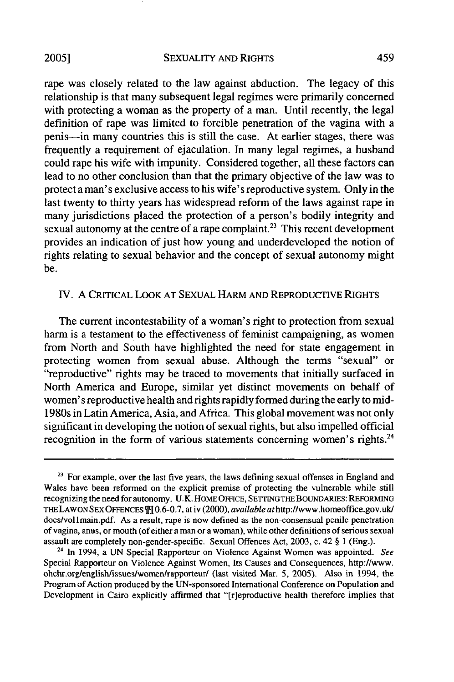rape was closely related to the law against abduction. The legacy of this relationship is that many subsequent legal regimes were primarily concerned with protecting a woman as the property of a man. Until recently, the legal definition of rape was limited to forcible penetration of the vagina with a penis-in many countries this is still the case. At earlier stages, there was frequently a requirement of ejaculation. In many legal regimes, a husband could rape his wife with impunity. Considered together, all these factors can lead to no other conclusion than that the primary objective of the law was to protect a man's exclusive access to his wife's reproductive system. Only in the last twenty to thirty years has widespread reform of the laws against rape in many jurisdictions placed the protection of a person's bodily integrity and sexual autonomy at the centre of a rape complaint.<sup>23</sup> This recent development provides an indication of just how young and underdeveloped the notion of rights relating to sexual behavior and the concept of sexual autonomy might be.

### TV. A CRITICAL LOOK AT SEXUAL HARM AND REPRODUCTIVE RIGHTS

The current incontestability of a woman's right to protection from sexual harm is a testament to the effectiveness of feminist campaigning, as women from North and South have highlighted the need for state engagement in protecting women from sexual abuse. Although the terms "sexual" or "reproductive" rights may be traced to movements that initially surfaced in North America and Europe, similar yet distinct movements on behalf of women's reproductive health and rights rapidly formed during the early to mid-1980s in Latin America, Asia, and Africa. This global movement was not only significant in developing the notion of sexual rights, but also impelled official recognition in the form of various statements concerning women's rights.<sup>24</sup>

<sup>&</sup>lt;sup>23</sup> For example, over the last five years, the laws defining sexual offenses in England and Wales have been reformed on the explicit premise of protecting the vulnerable while still recognizing the need for autonomy. U.K. HOME OFFICE, SETTINGTHE BOUNDARIES: REFORMING THE LAWON SEX OFFENCES  $\mathbb{H}$  0.6-0.7, at iv (2000), *available at* http://www.homeoffice.gov.uk/ docs/vol1main.pdf. As a result, rape is now defined as the non-consensual penile penetration of vagina, anus, or mouth (of either a man or a woman), while other definitions of serious sexual assault are completely non-gender-specific. Sexual Offences Act, 2003, c. 42 § 1 (Eng.).

**<sup>24</sup>**In 1994, a UN Special Rapporteur on Violence Against Women was appointed. *See* Special Rapporteur on Violence Against Women, Its Causes and Consequences, http:/www. ohchr.org/english/issues/women/rapporteur/ (last visited Mar. 5, 2005). Also in 1994, the Program of Action produced by the UN-sponsored International Conference on Population and Development in Cairo explicitly affirmed that "[r]eproductive health therefore implies that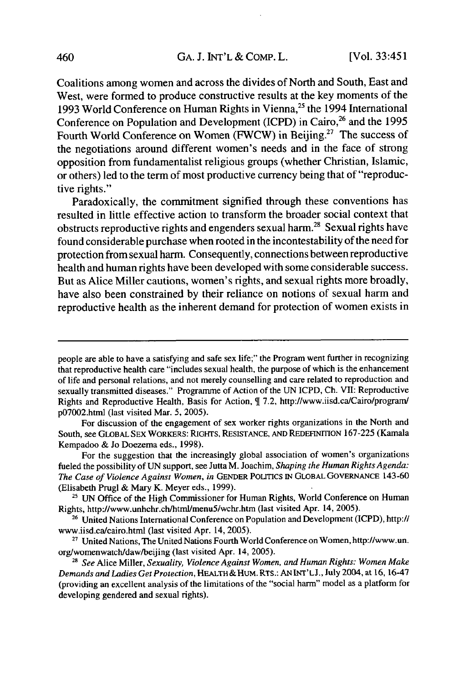Coalitions among women and across the divides of North and South, East and West, were formed to produce constructive results at the key moments of the 1993 World Conference on Human Rights in Vienna,<sup>25</sup> the 1994 International Conference on Population and Development (ICPD) in Cairo,<sup>26</sup> and the 1995 Fourth World Conference on Women (FWCW) in Beijing.<sup>27</sup> The success of the negotiations around different women's needs and in the face of strong opposition from fundamentalist religious groups (whether Christian, Islamic, or others) led to the term of most productive currency being that of "reproductive rights."

Paradoxically, the commitment signified through these conventions has resulted in little effective action to transform the broader social context that obstructs reproductive rights and engenders sexual harm.<sup>28</sup> Sexual rights have found considerable purchase when rooted in the incontestability of the need for protection from sexual harm. Consequently, connections between reproductive health and human rights have been developed with some considerable success. But as Alice Miller cautions, women's rights, and sexual rights more broadly, have also been constrained by their reliance on notions of sexual harm and reproductive health as the inherent demand for protection of women exists in

people are able to have a satisfying and safe sex life;" the Program went further in recognizing that reproductive health care "includes sexual health, the purpose of which is the enhancement of life and personal relations, and not merely counselling and care related to reproduction and sexually transmitted diseases." Programme of Action of the UN ICPD, Ch. VII: Reproductive Rights and Reproductive Health, Basis for Action, 7.2, http://www.iisd.ca/Cairo/program/ p07002.html (last visited Mar. 5, 2005).

For discussion of the engagement of sex worker rights organizations in the North and South, see GLOBAL SEX WORKERS: RIGHTS, RESISTANCE, AND REDEFINITION 167-225 (Kamala Kempadoo & Jo Doezema eds., 1998).

For the suggestion that the increasingly global association of women's organizations fueled the possibility of UN support, see Jutta M. Joachim, *Shaping the Human Rights Agenda: The Case of Violence Against Women, in* GENDER POLrTICs IN GLOBAL GOVERNANCE 143-60 (Elisabeth Prugl & Mary K. Meyer eds., 1999).

**<sup>25</sup>** UN Office of the High Commissioner for Human Rights, World Conference on Human Rights, http://www.unhchr.ch/html/menu5/wchr.htm (last visited Apr. 14, 2005).

**<sup>26</sup>**United Nations International Conference on Population and Development (ICPD), http:// www.iisd.ca/cairo.html (last visited Apr. 14, 2005).

**<sup>27</sup>**United Nations, The United Nations Fourth World Conference on Women, http://www.un. org/womenwatch/daw/beijing (last visited Apr. 14, 2005).

*<sup>28</sup>See* Alice Miller, *Sexuality, Violence Against Women, and Human Rights: Women Make* Demands *and Ladies Get Protection,* HEALTH **&** HuM. **RTS.: AN INT'LJ., July** 2004, at **16, 16-47** (providing an excellent analysis of the limitations of the "social harm" model as a platform for developing gendered and sexual rights).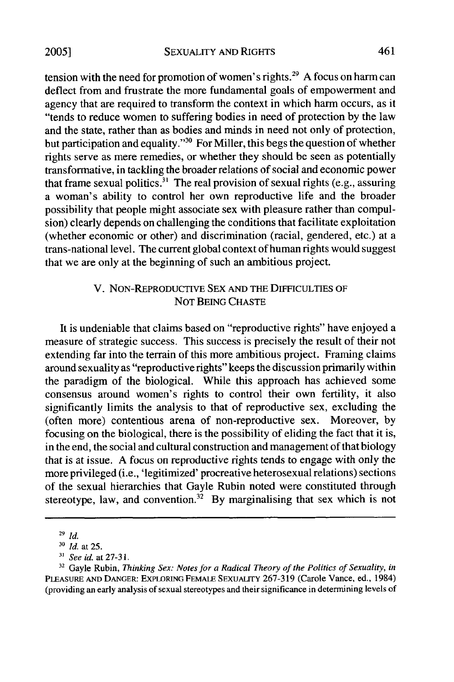tension with the need for promotion of women's rights.<sup>29</sup> A focus on harm can deflect from and frustrate the more fundamental goals of empowerment and agency that are required to transform the context in which harm occurs, as it "tends to reduce women to suffering bodies in need of protection by the law and the state, rather than as bodies and minds in need not only of protection, but participation and equality."<sup>30</sup> For Miller, this begs the question of whether rights serve as mere remedies, or whether they should be seen as potentially transformative, in tackling the broader relations of social and economic power that frame sexual politics.<sup>31</sup> The real provision of sexual rights (e.g., assuring a woman's ability to control her own reproductive life and the broader possibility that people might associate sex with pleasure rather than compulsion) clearly depends on challenging the conditions that facilitate exploitation (whether economic or other) and discrimination (racial, gendered, etc.) at a trans-national level. The current global context of human rights would suggest that we are only at the beginning of such an ambitious project.

## V. NON-REPRODUCTIVE SEX AND THE DIFFICULTIES OF NOT BEING CHASTE

It is undeniable that claims based on "reproductive rights" have enjoyed a measure of strategic success. This success is precisely the result of their not extending far into the terrain of this more ambitious project. Framing claims around sexuality as "reproductive rights" keeps the discussion primarily within the paradigm of the biological. While this approach has achieved some consensus around women's rights to control their own fertility, it also significantly limits the analysis to that of reproductive sex, excluding the (often more) contentious arena of non-reproductive sex. Moreover, by focusing on the biological, there is the possibility of eliding the fact that it is, in the end, the social and cultural construction and management of that biology that is at issue. A focus on reproductive rights tends to engage with only the more privileged (i.e., 'legitimized' procreative heterosexual relations) sections of the sexual hierarchies that Gayle Rubin noted were constituted through stereotype, law, and convention.<sup>32</sup> By marginalising that sex which is not

**<sup>29</sup>***Id.*

**<sup>30</sup>***Id.* at 25.

**<sup>31</sup>***See id.* at 27-3 1.

**<sup>32</sup>**Gayle Rubin, *Thinking Sex: Notes for a Radical Theory of the Politics of Sexuality, in* **PLEASURE AND DANGER: EXPLORING** FEMALE SEXUALITY 267-319 (Carole Vance, ed., 1984) (providing an early analysis of sexual stereotypes and their significance in determining levels of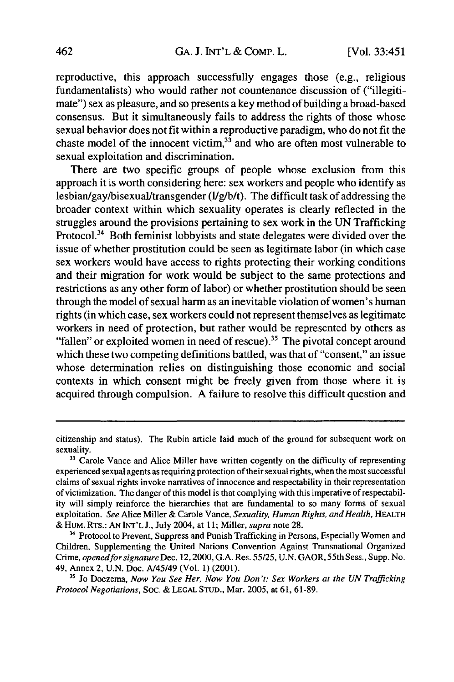reproductive, this approach successfully engages those (e.g., religious fundamentalists) who would rather not countenance discussion of ("illegitimate") sex as pleasure, and so presents a key method of building a broad-based consensus. But it simultaneously fails to address the rights of those whose sexual behavior does not fit within a reproductive paradigm, who do not fit the chaste model of the innocent victim, $3\overline{3}$  and who are often most vulnerable to sexual exploitation and discrimination.

There are two specific groups of people whose exclusion from this approach it is worth considering here: sex workers and people who identify as lesbian/gay/bisexual/transgender (l/g/b/t). The difficult task of addressing the broader context within which sexuality operates is clearly reflected in the struggles around the provisions pertaining to sex work in the UN Trafficking Protocol.<sup>34</sup> Both feminist lobbyists and state delegates were divided over the issue of whether prostitution could be seen as legitimate labor (in which case sex workers would have access to rights protecting their working conditions and their migration for work would be subject to the same protections and restrictions as any other form of labor) or whether prostitution should be seen through the model of sexual harm as an inevitable violation of women's human rights (in which case, sex workers could not represent themselves as legitimate workers in need of protection, but rather would be represented by others as "fallen" or exploited women in need of rescue).<sup>35</sup> The pivotal concept around which these two competing definitions battled, was that of "consent," an issue whose determination relies on distinguishing those economic and social contexts in which consent might be freely given from those where it is acquired through compulsion. A failure to resolve this difficult question and

<sup>34</sup> Protocol to Prevent, Suppress and Punish Trafficking in Persons, Especially Women and Children, Supplementing the United Nations Convention Against Transnational Organized Crime, *openedfor* signature Dec. 12,2000, G.A. Res. 55/25, U.N. GAOR, 55th Sess., Supp. No. 49, Annex 2, U.N. Doc. *A/45/49* (Vol. 1) (2001).

citizenship and status). The Rubin article laid much of the ground for subsequent work on sexuality.

<sup>&</sup>lt;sup>33</sup> Carole Vance and Alice Miller have written cogently on the difficulty of representing experienced sexual agents as requiring protection of their sexual rights, when the most successful claims of sexual rights invoke narratives of innocence and respectability in their representation of victimization. The danger of this model is that complying with this imperative of respectability will simply reinforce the hierarchies that are fundamental to so many forms of sexual exploitation. *See* Alice Miller & Carole Vance, *Sexuality, Human* Rights, *and Health,* HEALTH & HUM. RTs.: AN INT'L J., July 2004, at 11; Miller, *supra* note 28.

**<sup>&</sup>quot;** Jo Doezema, *Now You See Her, Now You Don't: Sex Workers at the UN Trafficking Protocol Negotiations,* Soc. & LEGAL STuD., Mar. 2005, at 61, 61-89.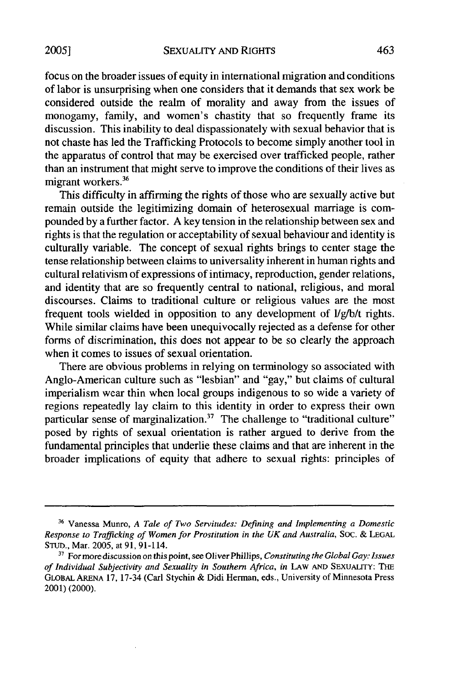focus on the broader issues of equity in international migration and conditions of labor is unsurprising when one considers that it demands that sex work be considered outside the realm of morality and away from the issues of monogamy, family, and women's chastity that so frequently frame its discussion. This inability to deal dispassionately with sexual behavior that is not chaste has led the Trafficking Protocols to become simply another tool in the apparatus of control that may be exercised over trafficked people, rather than an instrument that might serve to improve the conditions of their lives as migrant workers.<sup>36</sup>

This difficulty in affirming the rights of those who are sexually active but remain outside the legitimizing domain of heterosexual marriage is compounded by a further factor. A key tension in the relationship between sex and rights is that the regulation or acceptability of sexual behaviour and identity is culturally variable. The concept of sexual rights brings to center stage the tense relationship between claims to universality inherent in human rights and cultural relativism of expressions of intimacy, reproduction, gender relations, and identity that are so frequently central to national, religious, and moral discourses. Claims to traditional culture or religious values are the most frequent tools wielded in opposition to any development of l/g/b/t rights. While similar claims have been unequivocally rejected as a defense for other forms of discrimination, this does not appear to be so clearly the approach when it comes to issues of sexual orientation.

There are obvious problems in relying on terminology so associated with Anglo-American culture such as "lesbian" and "gay," but claims of cultural imperialism wear thin when local groups indigenous to so wide a variety of regions repeatedly lay claim to this identity in order to express their own particular sense of marginalization.<sup>37</sup> The challenge to "traditional culture" posed by rights of sexual orientation is rather argued to derive from the fundamental principles that underlie these claims and that are inherent in the broader implications of equity that adhere to sexual rights: principles of

<sup>36</sup> Vanessa Munro, *A Tale of Two Servitudes: Defining and Implementing a Domestic Response to Trafficking of Women for Prostitution in the UK and Australia, SOC.* & **LEGAL** STUD., Mar. 2005, at 91, 91-114.

**<sup>37</sup>** For more discussion on this point, see Oliver Phillips, *Constituting the Global Gay: Issues of Individual Subjectivity and Sexuality in Southern Africa, in* LAW **AND** SEXUALITY: THE GLoBAL **ARENA 17,** 17-34 (Carl Stychin & Didi Herman, eds., University of Minnesota Press 2001) (2000).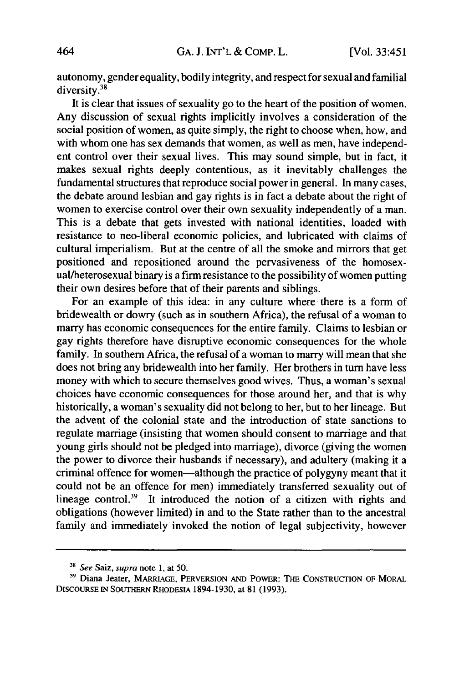autonomy, gender equality, bodily integrity, and respect for sexual and familial diversity.<sup>38</sup>

It is clear that issues of sexuality go to the heart of the position of women. Any discussion of sexual rights implicitly involves a consideration of the social position of women, as quite simply, the right to choose when, how, and with whom one has sex demands that women, as well as men, have independent control over their sexual lives. This may sound simple, but in fact, it makes sexual rights deeply contentious, as it inevitably challenges the fundamental structures that reproduce social power in general. In many cases, the debate around lesbian and gay rights is in fact a debate about the right of women to exercise control over their own sexuality independently of a man. This is a debate that gets invested with national identities, loaded with resistance to neo-liberal economic policies, and lubricated with claims of cultural imperialism. But at the centre of all the smoke and mirrors that get positioned and repositioned around the pervasiveness of the homosexual/heterosexual binary is a firm resistance to the possibility of women putting their own desires before that of their parents and siblings.

For an example of this idea: in any culture where there is a form of bridewealth or dowry (such as in southern Africa), the refusal of a woman to marry has economic consequences for the entire family. Claims to lesbian or gay rights therefore have disruptive economic consequences for the whole family. In southern Africa, the refusal of a woman to marry will mean that she does not bring any bridewealth into her family. Her brothers in turn have less money with which to secure themselves good wives. Thus, a woman's sexual choices have economic consequences for those around her, and that is why historically, a woman's sexuality did not belong to her, but to her lineage. But the advent of the colonial state and the introduction of state sanctions to regulate marriage (insisting that women should consent to marriage and that young girls should not be pledged into marriage), divorce (giving the women the power to divorce their husbands if necessary), and adultery (making it a criminal offence for women-although the practice of polygyny meant that it could not be an offence for men) immediately transferred sexuality out of lineage control.<sup>39</sup> It introduced the notion of a citizen with rights and obligations (however limited) in and to the State rather than to the ancestral family and immediately invoked the notion of legal subjectivity, however

<sup>&</sup>lt;sup>38</sup> See Saiz, supra note 1, at 50.

**<sup>39</sup>**Diana Jeater, MARRIAGE, PERVERSION **AND** POWER: THE **CONSTRUCTION** OF MORAL **DISCOURSE IN** SOUTHERN RHODESIA 1894-1930, at 81 (1993).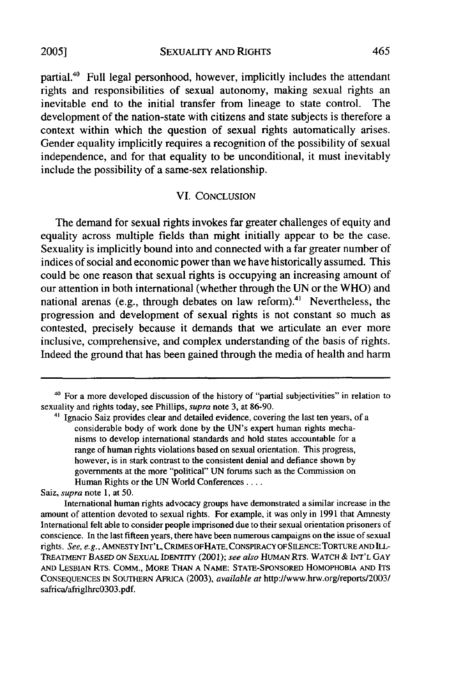partial.<sup>40</sup> Full legal personhood, however, implicitly includes the attendant rights and responsibilities of sexual autonomy, making sexual rights an inevitable end to the initial transfer from lineage to state control. The development of the nation-state with citizens and state subjects is therefore a context within which the question of sexual rights automatically arises. Gender equality implicitly requires a recognition of the possibility of sexual independence, and for that equality to be unconditional, it must inevitably include the possibility of a same-sex relationship.

#### VI. CONCLUSION

The demand for sexual rights invokes far greater challenges of equity and equality across multiple fields than might initially appear to be the case. Sexuality is implicitly bound into and connected with a far greater number of indices of social and economic power than we have historically assumed. This could be one reason that sexual rights is occupying an increasing amount of our attention in both international (whether through the UN or the WHO) and national arenas (e.g., through debates on law reform).<sup>41</sup> Nevertheless, the progression and development of sexual rights is not constant so much as contested, precisely because it demands that we articulate an ever more inclusive, comprehensive, and complex understanding of the basis of rights. Indeed the ground that has been gained through the media of health and harm

**2005]**

**<sup>&#</sup>x27;0** For a more developed discussion of the history of "partial subjectivities" in relation to sexuality and rights today, see Phillips, *supra* note 3, at 86-90.

<sup>&</sup>lt;sup>41</sup> Ignacio Saiz provides clear and detailed evidence, covering the last ten years, of a considerable body of work done by the UN's expert human rights mechanisms to develop international standards and hold states accountable for a range of human rights violations based on sexual orientation. This progress, however, is in stark contrast to the consistent denial and defiance shown by governments at the more "political" UN forums such as the Commission on Human Rights or the **UN** World Conferences ....

Saiz, *supra* note 1, at 50.

International human rights advocacy groups have demonstrated a similar increase in the amount of attention devoted to sexual rights. For example, it was only in 1991 that Amnesty International felt able to consider people imprisoned due to their sexual orientation prisoners of conscience. In the last fifteen years, there have been numerous campaigns on the issue of sexual rights. *See, e.g.,* AMNESTY INT'L, CRIMES OFHATE, CONSPIRACY OFSILENCE: TORTURE **AND** ILL-TREATMENT **BASED ON SEXUAL** IDENTITY (2001); *see also* HUMAN RTS. WATCH & **INT'L GAY AND** LESBIAN RTs. COMM., MORE **THAN A NAME:** STATE-SPONSORED HOMOPHOBIA **AND** ITS **CONSEQUENCES IN** SOUTHERN AFRICA (2003), *available at* http://www.hrw.org/reports/2003/ safrica/afriglhrc0303.pdf.